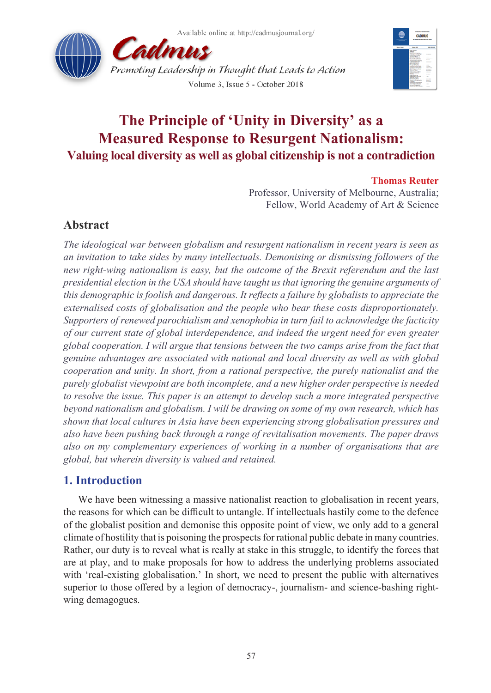



# **The Principle of 'Unity in Diversity' as a Measured Response to Resurgent Nationalism: Valuing local diversity as well as global citizenship is not a contradiction**

## **Thomas Reuter**

Professor, University of Melbourne, Australia; Fellow, World Academy of Art & Science

# **Abstract**

*The ideological war between globalism and resurgent nationalism in recent years is seen as an invitation to take sides by many intellectuals. Demonising or dismissing followers of the new right-wing nationalism is easy, but the outcome of the Brexit referendum and the last presidential election in the USA should have taught us that ignoring the genuine arguments of this demographic is foolish and dangerous. It reflects a failure by globalists to appreciate the externalised costs of globalisation and the people who bear these costs disproportionately. Supporters of renewed parochialism and xenophobia in turn fail to acknowledge the facticity of our current state of global interdependence, and indeed the urgent need for even greater global cooperation. I will argue that tensions between the two camps arise from the fact that genuine advantages are associated with national and local diversity as well as with global cooperation and unity. In short, from a rational perspective, the purely nationalist and the purely globalist viewpoint are both incomplete, and a new higher order perspective is needed to resolve the issue. This paper is an attempt to develop such a more integrated perspective beyond nationalism and globalism. I will be drawing on some of my own research, which has shown that local cultures in Asia have been experiencing strong globalisation pressures and also have been pushing back through a range of revitalisation movements. The paper draws also on my complementary experiences of working in a number of organisations that are global, but wherein diversity is valued and retained.*

# **1. Introduction**

We have been witnessing a massive nationalist reaction to globalisation in recent years, the reasons for which can be difficult to untangle. If intellectuals hastily come to the defence of the globalist position and demonise this opposite point of view, we only add to a general climate of hostility that is poisoning the prospects for rational public debate in many countries. Rather, our duty is to reveal what is really at stake in this struggle, to identify the forces that are at play, and to make proposals for how to address the underlying problems associated with 'real-existing globalisation.' In short, we need to present the public with alternatives superior to those offered by a legion of democracy-, journalism- and science-bashing rightwing demagogues.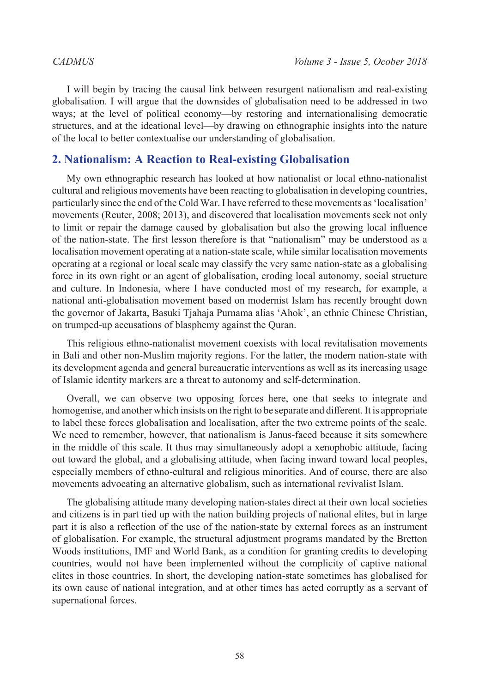I will begin by tracing the causal link between resurgent nationalism and real-existing globalisation. I will argue that the downsides of globalisation need to be addressed in two ways; at the level of political economy—by restoring and internationalising democratic structures, and at the ideational level—by drawing on ethnographic insights into the nature of the local to better contextualise our understanding of globalisation.

## **2. Nationalism: A Reaction to Real-existing Globalisation**

My own ethnographic research has looked at how nationalist or local ethno-nationalist cultural and religious movements have been reacting to globalisation in developing countries, particularly since the end of the Cold War. I have referred to these movements as 'localisation' movements (Reuter, 2008; 2013), and discovered that localisation movements seek not only to limit or repair the damage caused by globalisation but also the growing local influence of the nation-state. The first lesson therefore is that "nationalism" may be understood as a localisation movement operating at a nation-state scale, while similar localisation movements operating at a regional or local scale may classify the very same nation-state as a globalising force in its own right or an agent of globalisation, eroding local autonomy, social structure and culture. In Indonesia, where I have conducted most of my research, for example, a national anti-globalisation movement based on modernist Islam has recently brought down the governor of Jakarta, Basuki Tjahaja Purnama alias 'Ahok', an ethnic Chinese Christian, on trumped-up accusations of blasphemy against the Quran.

This religious ethno-nationalist movement coexists with local revitalisation movements in Bali and other non-Muslim majority regions. For the latter, the modern nation-state with its development agenda and general bureaucratic interventions as well as its increasing usage of Islamic identity markers are a threat to autonomy and self-determination.

Overall, we can observe two opposing forces here, one that seeks to integrate and homogenise, and another which insists on the right to be separate and different. It is appropriate to label these forces globalisation and localisation, after the two extreme points of the scale. We need to remember, however, that nationalism is Janus-faced because it sits somewhere in the middle of this scale. It thus may simultaneously adopt a xenophobic attitude, facing out toward the global, and a globalising attitude, when facing inward toward local peoples, especially members of ethno-cultural and religious minorities. And of course, there are also movements advocating an alternative globalism, such as international revivalist Islam.

The globalising attitude many developing nation-states direct at their own local societies and citizens is in part tied up with the nation building projects of national elites, but in large part it is also a reflection of the use of the nation-state by external forces as an instrument of globalisation. For example, the structural adjustment programs mandated by the Bretton Woods institutions, IMF and World Bank, as a condition for granting credits to developing countries, would not have been implemented without the complicity of captive national elites in those countries. In short, the developing nation-state sometimes has globalised for its own cause of national integration, and at other times has acted corruptly as a servant of supernational forces.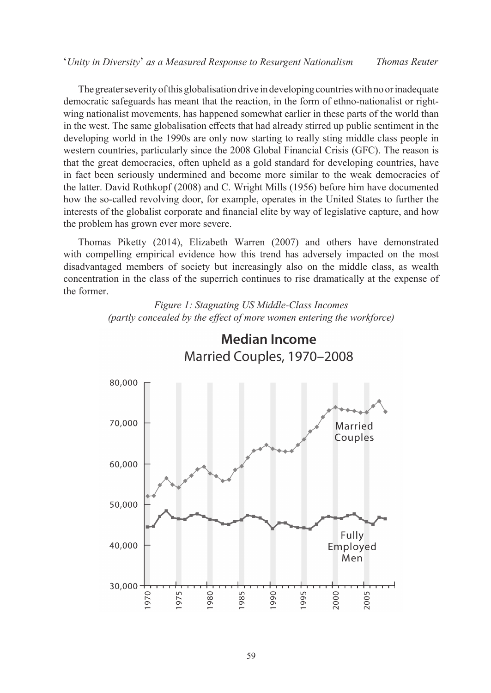The greater severity of this globalisation drive in developing countries with no or inadequate democratic safeguards has meant that the reaction, in the form of ethno-nationalist or rightwing nationalist movements, has happened somewhat earlier in these parts of the world than in the west. The same globalisation effects that had already stirred up public sentiment in the developing world in the 1990s are only now starting to really sting middle class people in western countries, particularly since the 2008 Global Financial Crisis (GFC). The reason is that the great democracies, often upheld as a gold standard for developing countries, have in fact been seriously undermined and become more similar to the weak democracies of the latter. David Rothkopf (2008) and C. Wright Mills (1956) before him have documented how the so-called revolving door, for example, operates in the United States to further the interests of the globalist corporate and financial elite by way of legislative capture, and how the problem has grown ever more severe.

Thomas Piketty (2014), Elizabeth Warren (2007) and others have demonstrated with compelling empirical evidence how this trend has adversely impacted on the most disadvantaged members of society but increasingly also on the middle class, as wealth concentration in the class of the superrich continues to rise dramatically at the expense of the former.

> *Figure 1: Stagnating US Middle-Class Incomes (partly concealed by the effect of more women entering the workforce)*



# **Median Income** Married Couples, 1970-2008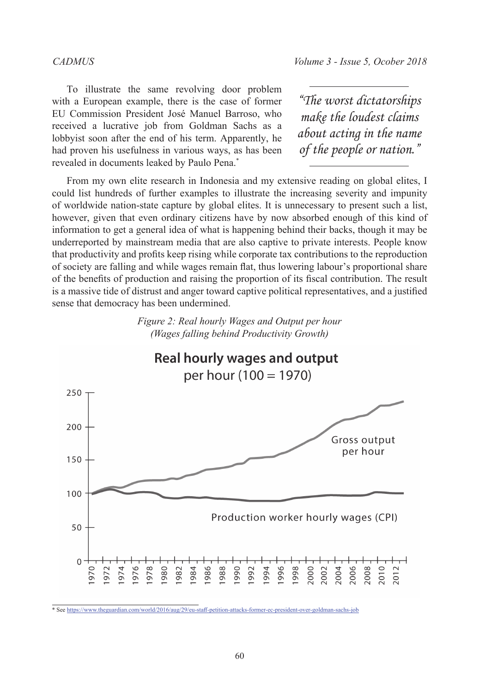### *CADMUS Volume 3 - Issue 5, Ocober 2018* '*Unity in Diversity*' *as a Measured Response to Resurgent Nationalism Thomas Reuter*

To illustrate the same revolving door problem with a European example, there is the case of former EU Commission President José Manuel Barroso, who received a lucrative job from Goldman Sachs as a lobbyist soon after the end of his term. Apparently, he had proven his usefulness in various ways, as has been revealed in documents leaked by Paulo Pena.\*

*"The worst dictatorships make the loudest claims about acting in the name of the people or nation."*

From my own elite research in Indonesia and my extensive reading on global elites, I could list hundreds of further examples to illustrate the increasing severity and impunity of worldwide nation-state capture by global elites. It is unnecessary to present such a list, however, given that even ordinary citizens have by now absorbed enough of this kind of information to get a general idea of what is happening behind their backs, though it may be underreported by mainstream media that are also captive to private interests. People know that productivity and profits keep rising while corporate tax contributions to the reproduction of society are falling and while wages remain flat, thus lowering labour's proportional share of the benefits of production and raising the proportion of its fiscal contribution. The result is a massive tide of distrust and anger toward captive political representatives, and a justified sense that democracy has been undermined.





\* See https://www.theguardian.com/world/2016/aug/29/eu-staff-petition-attacks-former-ec-president-over-goldman-sachs-job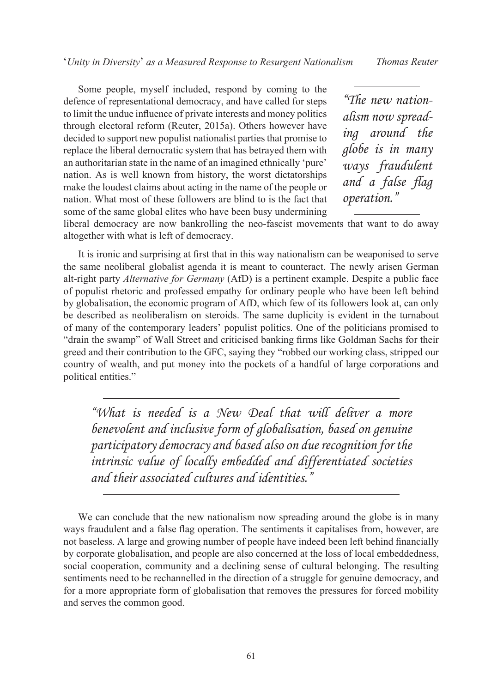Some people, myself included, respond by coming to the defence of representational democracy, and have called for steps to limit the undue influence of private interests and money politics through electoral reform (Reuter, 2015a). Others however have decided to support new populist nationalist parties that promise to replace the liberal democratic system that has betrayed them with an authoritarian state in the name of an imagined ethnically 'pure' nation. As is well known from history, the worst dictatorships make the loudest claims about acting in the name of the people or nation. What most of these followers are blind to is the fact that some of the same global elites who have been busy undermining

*"The new nationalism now spreading around the globe is in many ways fraudulent and a false flag operation."*

liberal democracy are now bankrolling the neo-fascist movements that want to do away altogether with what is left of democracy.

It is ironic and surprising at first that in this way nationalism can be weaponised to serve the same neoliberal globalist agenda it is meant to counteract. The newly arisen German alt-right party *Alternative for Germany* (AfD) is a pertinent example. Despite a public face of populist rhetoric and professed empathy for ordinary people who have been left behind by globalisation, the economic program of AfD, which few of its followers look at, can only be described as neoliberalism on steroids. The same duplicity is evident in the turnabout of many of the contemporary leaders' populist politics. One of the politicians promised to "drain the swamp" of Wall Street and criticised banking firms like Goldman Sachs for their greed and their contribution to the GFC, saying they "robbed our working class, stripped our country of wealth, and put money into the pockets of a handful of large corporations and political entities."

*"What is needed is a New Deal that will deliver a more benevolent and inclusive form of globalisation, based on genuine participatory democracy and based also on due recognition for the intrinsic value of locally embedded and differentiated societies and their associated cultures and identities."*

We can conclude that the new nationalism now spreading around the globe is in many ways fraudulent and a false flag operation. The sentiments it capitalises from, however, are not baseless. A large and growing number of people have indeed been left behind financially by corporate globalisation, and people are also concerned at the loss of local embeddedness, social cooperation, community and a declining sense of cultural belonging. The resulting sentiments need to be rechannelled in the direction of a struggle for genuine democracy, and for a more appropriate form of globalisation that removes the pressures for forced mobility and serves the common good.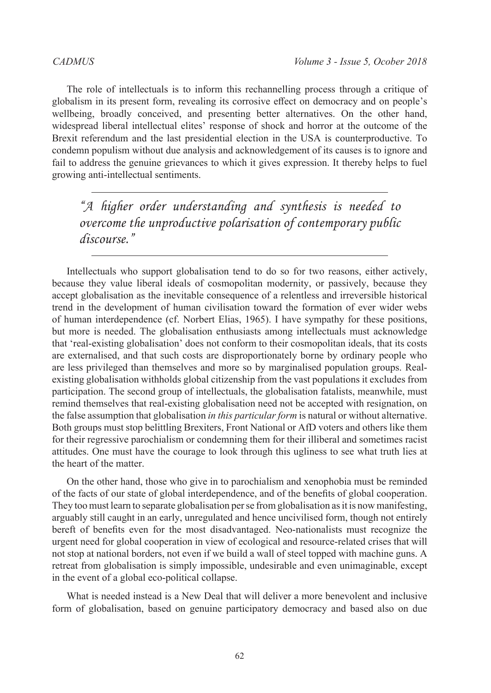The role of intellectuals is to inform this rechannelling process through a critique of globalism in its present form, revealing its corrosive effect on democracy and on people's wellbeing, broadly conceived, and presenting better alternatives. On the other hand, widespread liberal intellectual elites' response of shock and horror at the outcome of the Brexit referendum and the last presidential election in the USA is counterproductive. To condemn populism without due analysis and acknowledgement of its causes is to ignore and fail to address the genuine grievances to which it gives expression. It thereby helps to fuel growing anti-intellectual sentiments.

*"A higher order understanding and synthesis is needed to overcome the unproductive polarisation of contemporary public discourse."*

Intellectuals who support globalisation tend to do so for two reasons, either actively, because they value liberal ideals of cosmopolitan modernity, or passively, because they accept globalisation as the inevitable consequence of a relentless and irreversible historical trend in the development of human civilisation toward the formation of ever wider webs of human interdependence (cf. Norbert Elias, 1965). I have sympathy for these positions, but more is needed. The globalisation enthusiasts among intellectuals must acknowledge that 'real-existing globalisation' does not conform to their cosmopolitan ideals, that its costs are externalised, and that such costs are disproportionately borne by ordinary people who are less privileged than themselves and more so by marginalised population groups. Realexisting globalisation withholds global citizenship from the vast populations it excludes from participation. The second group of intellectuals, the globalisation fatalists, meanwhile, must remind themselves that real-existing globalisation need not be accepted with resignation, on the false assumption that globalisation *in this particular form* is natural or without alternative. Both groups must stop belittling Brexiters, Front National or AfD voters and others like them for their regressive parochialism or condemning them for their illiberal and sometimes racist attitudes. One must have the courage to look through this ugliness to see what truth lies at the heart of the matter.

On the other hand, those who give in to parochialism and xenophobia must be reminded of the facts of our state of global interdependence, and of the benefits of global cooperation. They too must learn to separate globalisation per se from globalisation as it is now manifesting, arguably still caught in an early, unregulated and hence uncivilised form, though not entirely bereft of benefits even for the most disadvantaged. Neo-nationalists must recognize the urgent need for global cooperation in view of ecological and resource-related crises that will not stop at national borders, not even if we build a wall of steel topped with machine guns. A retreat from globalisation is simply impossible, undesirable and even unimaginable, except in the event of a global eco-political collapse.

What is needed instead is a New Deal that will deliver a more benevolent and inclusive form of globalisation, based on genuine participatory democracy and based also on due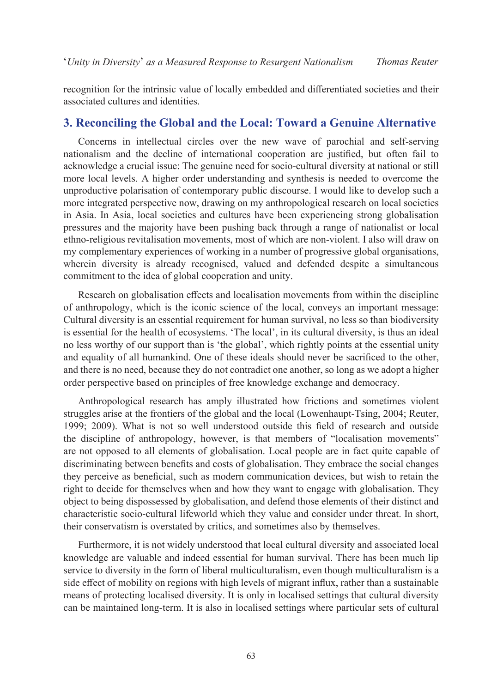recognition for the intrinsic value of locally embedded and differentiated societies and their associated cultures and identities.

# **3. Reconciling the Global and the Local: Toward a Genuine Alternative**

Concerns in intellectual circles over the new wave of parochial and self-serving nationalism and the decline of international cooperation are justified, but often fail to acknowledge a crucial issue: The genuine need for socio-cultural diversity at national or still more local levels. A higher order understanding and synthesis is needed to overcome the unproductive polarisation of contemporary public discourse. I would like to develop such a more integrated perspective now, drawing on my anthropological research on local societies in Asia. In Asia, local societies and cultures have been experiencing strong globalisation pressures and the majority have been pushing back through a range of nationalist or local ethno-religious revitalisation movements, most of which are non-violent. I also will draw on my complementary experiences of working in a number of progressive global organisations, wherein diversity is already recognised, valued and defended despite a simultaneous commitment to the idea of global cooperation and unity.

Research on globalisation effects and localisation movements from within the discipline of anthropology, which is the iconic science of the local, conveys an important message: Cultural diversity is an essential requirement for human survival, no less so than biodiversity is essential for the health of ecosystems. 'The local', in its cultural diversity, is thus an ideal no less worthy of our support than is 'the global', which rightly points at the essential unity and equality of all humankind. One of these ideals should never be sacrificed to the other, and there is no need, because they do not contradict one another, so long as we adopt a higher order perspective based on principles of free knowledge exchange and democracy.

Anthropological research has amply illustrated how frictions and sometimes violent struggles arise at the frontiers of the global and the local (Lowenhaupt-Tsing, 2004; Reuter, 1999; 2009). What is not so well understood outside this field of research and outside the discipline of anthropology, however, is that members of "localisation movements" are not opposed to all elements of globalisation. Local people are in fact quite capable of discriminating between benefits and costs of globalisation. They embrace the social changes they perceive as beneficial, such as modern communication devices, but wish to retain the right to decide for themselves when and how they want to engage with globalisation. They object to being dispossessed by globalisation, and defend those elements of their distinct and characteristic socio-cultural lifeworld which they value and consider under threat. In short, their conservatism is overstated by critics, and sometimes also by themselves.

Furthermore, it is not widely understood that local cultural diversity and associated local knowledge are valuable and indeed essential for human survival. There has been much lip service to diversity in the form of liberal multiculturalism, even though multiculturalism is a side effect of mobility on regions with high levels of migrant influx, rather than a sustainable means of protecting localised diversity. It is only in localised settings that cultural diversity can be maintained long-term. It is also in localised settings where particular sets of cultural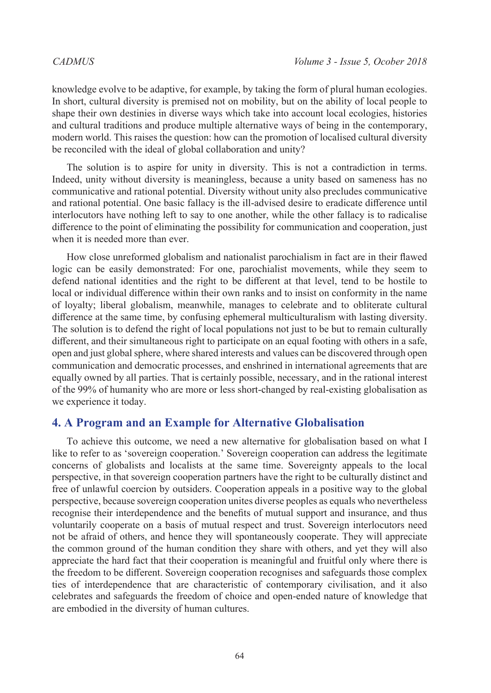knowledge evolve to be adaptive, for example, by taking the form of plural human ecologies. In short, cultural diversity is premised not on mobility, but on the ability of local people to shape their own destinies in diverse ways which take into account local ecologies, histories and cultural traditions and produce multiple alternative ways of being in the contemporary, modern world. This raises the question: how can the promotion of localised cultural diversity be reconciled with the ideal of global collaboration and unity?

The solution is to aspire for unity in diversity. This is not a contradiction in terms. Indeed, unity without diversity is meaningless, because a unity based on sameness has no communicative and rational potential. Diversity without unity also precludes communicative and rational potential. One basic fallacy is the ill-advised desire to eradicate difference until interlocutors have nothing left to say to one another, while the other fallacy is to radicalise difference to the point of eliminating the possibility for communication and cooperation, just when it is needed more than ever.

How close unreformed globalism and nationalist parochialism in fact are in their flawed logic can be easily demonstrated: For one, parochialist movements, while they seem to defend national identities and the right to be different at that level, tend to be hostile to local or individual difference within their own ranks and to insist on conformity in the name of loyalty; liberal globalism, meanwhile, manages to celebrate and to obliterate cultural difference at the same time, by confusing ephemeral multiculturalism with lasting diversity. The solution is to defend the right of local populations not just to be but to remain culturally different, and their simultaneous right to participate on an equal footing with others in a safe, open and just global sphere, where shared interests and values can be discovered through open communication and democratic processes, and enshrined in international agreements that are equally owned by all parties. That is certainly possible, necessary, and in the rational interest of the 99% of humanity who are more or less short-changed by real-existing globalisation as we experience it today.

# **4. A Program and an Example for Alternative Globalisation**

To achieve this outcome, we need a new alternative for globalisation based on what I like to refer to as 'sovereign cooperation.' Sovereign cooperation can address the legitimate concerns of globalists and localists at the same time. Sovereignty appeals to the local perspective, in that sovereign cooperation partners have the right to be culturally distinct and free of unlawful coercion by outsiders. Cooperation appeals in a positive way to the global perspective, because sovereign cooperation unites diverse peoples as equals who nevertheless recognise their interdependence and the benefits of mutual support and insurance, and thus voluntarily cooperate on a basis of mutual respect and trust. Sovereign interlocutors need not be afraid of others, and hence they will spontaneously cooperate. They will appreciate the common ground of the human condition they share with others, and yet they will also appreciate the hard fact that their cooperation is meaningful and fruitful only where there is the freedom to be different. Sovereign cooperation recognises and safeguards those complex ties of interdependence that are characteristic of contemporary civilisation, and it also celebrates and safeguards the freedom of choice and open-ended nature of knowledge that are embodied in the diversity of human cultures.